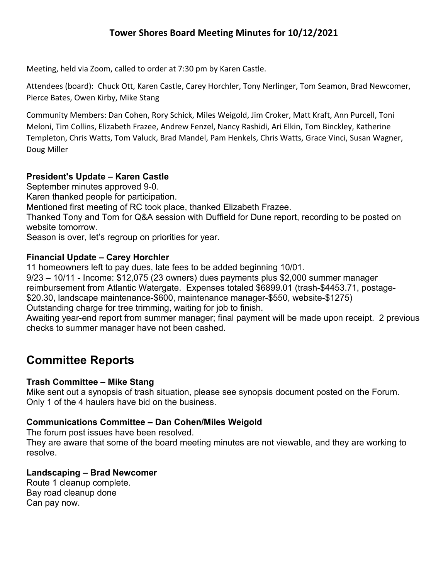Meeting, held via Zoom, called to order at 7:30 pm by Karen Castle.

Attendees (board): Chuck Ott, Karen Castle, Carey Horchler, Tony Nerlinger, Tom Seamon, Brad Newcomer, Pierce Bates, Owen Kirby, Mike Stang

Community Members: Dan Cohen, Rory Schick, Miles Weigold, Jim Croker, Matt Kraft, Ann Purcell, Toni Meloni, Tim Collins, Elizabeth Frazee, Andrew Fenzel, Nancy Rashidi, Ari Elkin, Tom Binckley, Katherine Templeton, Chris Watts, Tom Valuck, Brad Mandel, Pam Henkels, Chris Watts, Grace Vinci, Susan Wagner, Doug Miller

## **President's Update – Karen Castle**

September minutes approved 9-0. Karen thanked people for participation. Mentioned first meeting of RC took place, thanked Elizabeth Frazee. Thanked Tony and Tom for Q&A session with Duffield for Dune report, recording to be posted on website tomorrow. Season is over, let's regroup on priorities for year.

## **Financial Update – Carey Horchler**

11 homeowners left to pay dues, late fees to be added beginning 10/01.

9/23 – 10/11 - Income: \$12,075 (23 owners) dues payments plus \$2,000 summer manager reimbursement from Atlantic Watergate. Expenses totaled \$6899.01 (trash-\$4453.71, postage- \$20.30, landscape maintenance-\$600, maintenance manager-\$550, website-\$1275) Outstanding charge for tree trimming, waiting for job to finish.

Awaiting year-end report from summer manager; final payment will be made upon receipt. 2 previous checks to summer manager have not been cashed.

# **Committee Reports**

## **Trash Committee – Mike Stang**

Mike sent out a synopsis of trash situation, please see synopsis document posted on the Forum. Only 1 of the 4 haulers have bid on the business.

## **Communications Committee – Dan Cohen/Miles Weigold**

The forum post issues have been resolved.

They are aware that some of the board meeting minutes are not viewable, and they are working to resolve.

## **Landscaping – Brad Newcomer**

Route 1 cleanup complete. Bay road cleanup done Can pay now.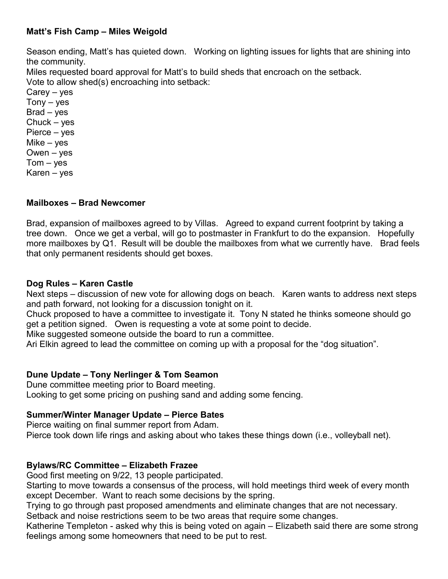## **Matt's Fish Camp – Miles Weigold**

Season ending, Matt's has quieted down. Working on lighting issues for lights that are shining into the community.

Miles requested board approval for Matt's to build sheds that encroach on the setback. Vote to allow shed(s) encroaching into setback:

Carey – yes  $Tony - yes$ Brad – yes Chuck – yes Pierce – yes Mike – yes Owen – yes  $Tom - ves$ Karen – yes

#### **Mailboxes – Brad Newcomer**

Brad, expansion of mailboxes agreed to by Villas. Agreed to expand current footprint by taking a tree down. Once we get a verbal, will go to postmaster in Frankfurt to do the expansion. Hopefully more mailboxes by Q1. Result will be double the mailboxes from what we currently have. Brad feels that only permanent residents should get boxes.

#### **Dog Rules – Karen Castle**

Next steps – discussion of new vote for allowing dogs on beach. Karen wants to address next steps and path forward, not looking for a discussion tonight on it.

Chuck proposed to have a committee to investigate it. Tony N stated he thinks someone should go get a petition signed. Owen is requesting a vote at some point to decide.

Mike suggested someone outside the board to run a committee.

Ari Elkin agreed to lead the committee on coming up with a proposal for the "dog situation".

#### **Dune Update – Tony Nerlinger & Tom Seamon**

Dune committee meeting prior to Board meeting. Looking to get some pricing on pushing sand and adding some fencing.

#### **Summer/Winter Manager Update – Pierce Bates**

Pierce waiting on final summer report from Adam. Pierce took down life rings and asking about who takes these things down (i.e., volleyball net).

#### **Bylaws/RC Committee – Elizabeth Frazee**

Good first meeting on 9/22, 13 people participated.

Starting to move towards a consensus of the process, will hold meetings third week of every month except December. Want to reach some decisions by the spring.

Trying to go through past proposed amendments and eliminate changes that are not necessary. Setback and noise restrictions seem to be two areas that require some changes.

Katherine Templeton - asked why this is being voted on again – Elizabeth said there are some strong feelings among some homeowners that need to be put to rest.